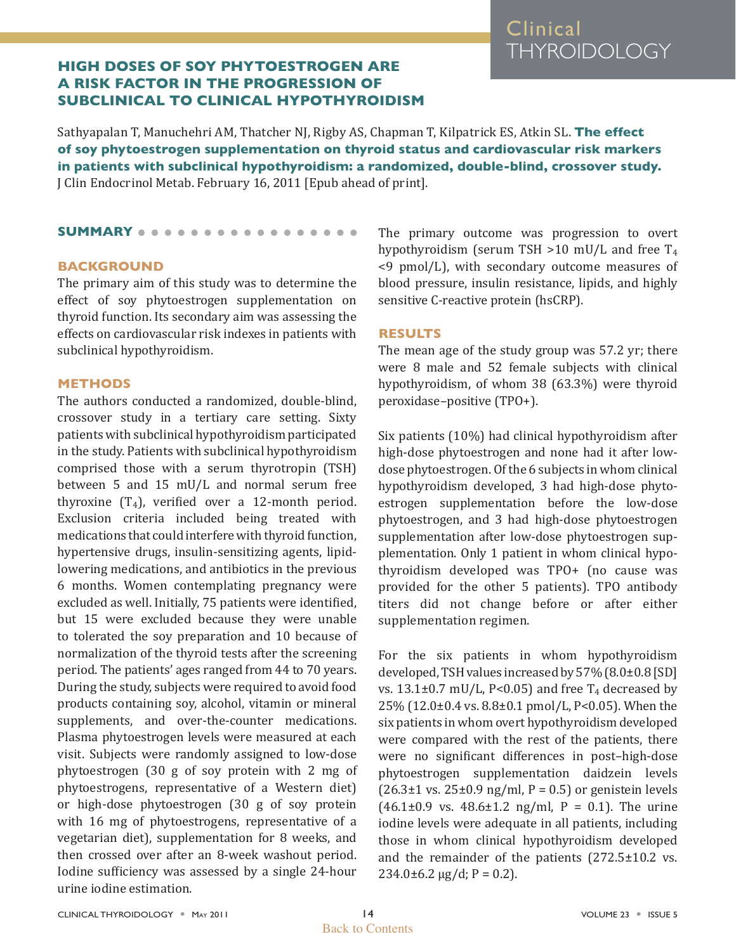# Clinical THYROIDOLOGY

# **HIGH DOSES OF SOY PHYTOESTROGEN ARE A RISK FACTOR IN THE PROGRESSION OF SUBCLINICAL TO CLINICAL HYPOTHYROIDISM**

Sathyapalan T, Manuchehri AM, Thatcher NJ, Rigby AS, Chapman T, Kilpatrick ES, Atkin SL. **The effect of soy phytoestrogen supplementation on thyroid status and cardiovascular risk markers in patients with subclinical hypothyroidism: a randomized, double-blind, crossover study.** [J Clin Endocrinol Metab.](file:///Users/karen/Documents/Work/ATA/Clinical%20Thyroidology/CT%202011/05%20CT%20May%202011/From%20Jerry/mayissue/javascript:AL_get(this,%20) February 16, 2011 [Epub ahead of print].

## **SUMMARY**

## **BACKGROUND**

The primary aim of this study was to determine the effect of soy phytoestrogen supplementation on thyroid function. Its secondary aim was assessing the effects on cardiovascular risk indexes in patients with subclinical hypothyroidism.

## **METHODS**

The authors conducted a randomized, double-blind, crossover study in a tertiary care setting. Sixty patients with subclinical hypothyroidism participated in the study. Patients with subclinical hypothyroidism comprised those with a serum thyrotropin (TSH) between 5 and 15 mU/L and normal serum free thyroxine  $(T_4)$ , verified over a 12-month period. Exclusion criteria included being treated with medications that could interfere with thyroid function, hypertensive drugs, insulin-sensitizing agents, lipidlowering medications, and antibiotics in the previous 6 months. Women contemplating pregnancy were excluded as well. Initially, 75 patients were identified, but 15 were excluded because they were unable to tolerated the soy preparation and 10 because of normalization of the thyroid tests after the screening period. The patients' ages ranged from 44 to 70 years. During the study, subjects were required to avoid food products containing soy, alcohol, vitamin or mineral supplements, and over-the-counter medications. Plasma phytoestrogen levels were measured at each visit. Subjects were randomly assigned to low-dose phytoestrogen (30 g of soy protein with 2 mg of phytoestrogens, representative of a Western diet) or high-dose phytoestrogen (30 g of soy protein with 16 mg of phytoestrogens, representative of a vegetarian diet), supplementation for 8 weeks, and then crossed over after an 8-week washout period. Iodine sufficiency was assessed by a single 24-hour urine iodine estimation.

The primary outcome was progression to overt hypothyroidism (serum TSH  $>10$  mU/L and free T<sub>4</sub> <9 pmol/L), with secondary outcome measures of blood pressure, insulin resistance, lipids, and highly sensitive C-reactive protein (hsCRP).

#### **RESULTS**

The mean age of the study group was 57.2 yr; there were 8 male and 52 female subjects with clinical hypothyroidism, of whom 38 (63.3%) were thyroid peroxidase–positive (TPO+).

Six patients (10%) had clinical hypothyroidism after high-dose phytoestrogen and none had it after lowdose phytoestrogen. Of the 6 subjects in whom clinical hypothyroidism developed, 3 had high-dose phytoestrogen supplementation before the low-dose phytoestrogen, and 3 had high-dose phytoestrogen supplementation after low-dose phytoestrogen supplementation. Only 1 patient in whom clinical hypothyroidism developed was TPO+ (no cause was provided for the other 5 patients). TPO antibody titers did not change before or after either supplementation regimen.

For the six patients in whom hypothyroidism developed, TSH values increased by 57% (8.0±0.8 [SD] vs.  $13.1\pm0.7$  mU/L, P<0.05) and free T<sub>4</sub> decreased by 25% (12.0±0.4 vs. 8.8±0.1 pmol/L, P<0.05). When the six patients in whom overt hypothyroidism developed were compared with the rest of the patients, there were no significant differences in post–high-dose phytoestrogen supplementation daidzein levels  $(26.3\pm1 \text{ vs. } 25\pm0.9 \text{ ng/ml}, P = 0.5)$  or genistein levels  $(46.1\pm0.9 \text{ vs. } 48.6\pm1.2 \text{ ng/ml}, P = 0.1)$ . The urine iodine levels were adequate in all patients, including those in whom clinical hypothyroidism developed and the remainder of the patients (272.5±10.2 vs.  $234.0\pm6.2 \,\mu g/d$ ; P = 0.2).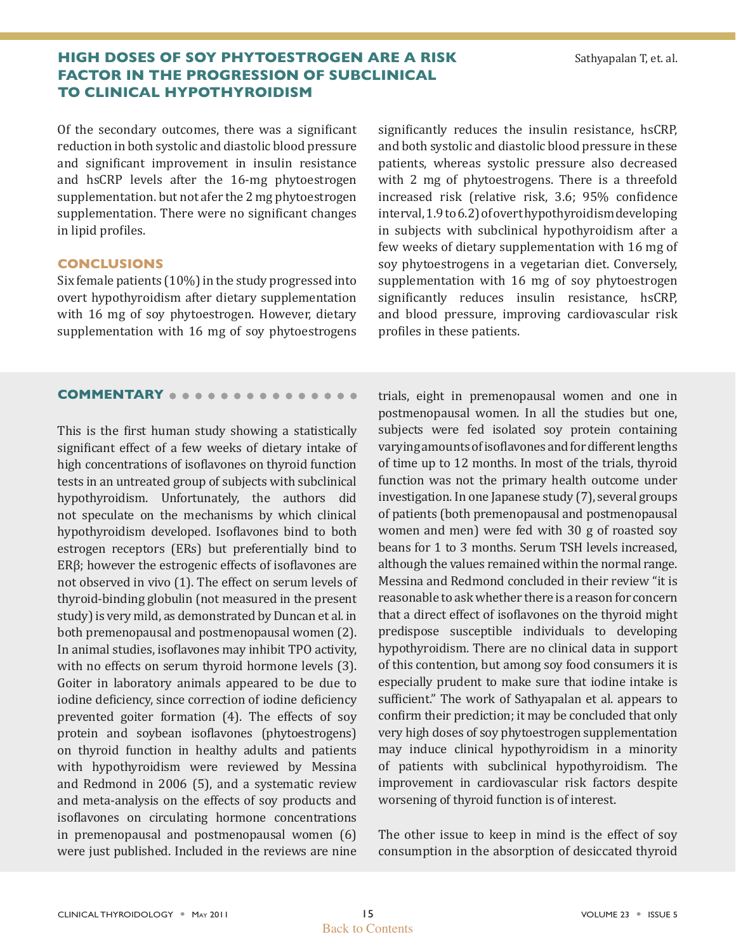# **HIGH DOSES OF SOY PHYTOESTROGEN ARE A RISK** Sathyapalan T, et. al. **FACTOR IN THE PROGRESSION OF SUBCLINICAL TO CLINICAL HYPOTHYROIDISM**

Of the secondary outcomes, there was a significant reduction in both systolic and diastolic blood pressure and significant improvement in insulin resistance and hsCRP levels after the 16-mg phytoestrogen supplementation. but not afer the 2 mg phytoestrogen supplementation. There were no significant changes in lipid profiles.

## **CONCLUSIONS**

Six female patients (10%) in the study progressed into overt hypothyroidism after dietary supplementation with 16 mg of soy phytoestrogen. However, dietary supplementation with 16 mg of soy phytoestrogens significantly reduces the insulin resistance, hsCRP, and both systolic and diastolic blood pressure in these patients, whereas systolic pressure also decreased with 2 mg of phytoestrogens. There is a threefold increased risk (relative risk, 3.6; 95% confidence interval, 1.9 to 6.2) of overt hypothyroidism developing in subjects with subclinical hypothyroidism after a few weeks of dietary supplementation with 16 mg of soy phytoestrogens in a vegetarian diet. Conversely, supplementation with 16 mg of soy phytoestrogen significantly reduces insulin resistance, hsCRP, and blood pressure, improving cardiovascular risk profiles in these patients.

## **COMMENTARY**

This is the first human study showing a statistically significant effect of a few weeks of dietary intake of high concentrations of isoflavones on thyroid function tests in an untreated group of subjects with subclinical hypothyroidism. Unfortunately, the authors did not speculate on the mechanisms by which clinical hypothyroidism developed. Isoflavones bind to both estrogen receptors (ERs) but preferentially bind to ERβ; however the estrogenic effects of isoflavones are not observed in vivo (1). The effect on serum levels of thyroid-binding globulin (not measured in the present study) is very mild, as demonstrated by Duncan et al. in both premenopausal and postmenopausal women (2). In animal studies, isoflavones may inhibit TPO activity, with no effects on serum thyroid hormone levels (3). Goiter in laboratory animals appeared to be due to iodine deficiency, since correction of iodine deficiency prevented goiter formation (4). The effects of soy protein and soybean isoflavones (phytoestrogens) on thyroid function in healthy adults and patients with hypothyroidism were reviewed by Messina and Redmond in 2006 (5), and a systematic review and meta-analysis on the effects of soy products and isoflavones on circulating hormone concentrations in premenopausal and postmenopausal women (6) were just published. Included in the reviews are nine

trials, eight in premenopausal women and one in postmenopausal women. In all the studies but one, subjects were fed isolated soy protein containing varying amounts of isoflavones and for different lengths of time up to 12 months. In most of the trials, thyroid function was not the primary health outcome under investigation. In one Japanese study (7), several groups of patients (both premenopausal and postmenopausal women and men) were fed with 30 g of roasted soy beans for 1 to 3 months. Serum TSH levels increased, although the values remained within the normal range. Messina and Redmond concluded in their review "it is reasonable to ask whether there is a reason for concern that a direct effect of isoflavones on the thyroid might predispose susceptible individuals to developing hypothyroidism. There are no clinical data in support of this contention, but among soy food consumers it is especially prudent to make sure that iodine intake is sufficient." The work of Sathyapalan et al. appears to confirm their prediction; it may be concluded that only very high doses of soy phytoestrogen supplementation may induce clinical hypothyroidism in a minority of patients with subclinical hypothyroidism. The improvement in cardiovascular risk factors despite worsening of thyroid function is of interest.

The other issue to keep in mind is the effect of soy consumption in the absorption of desiccated thyroid